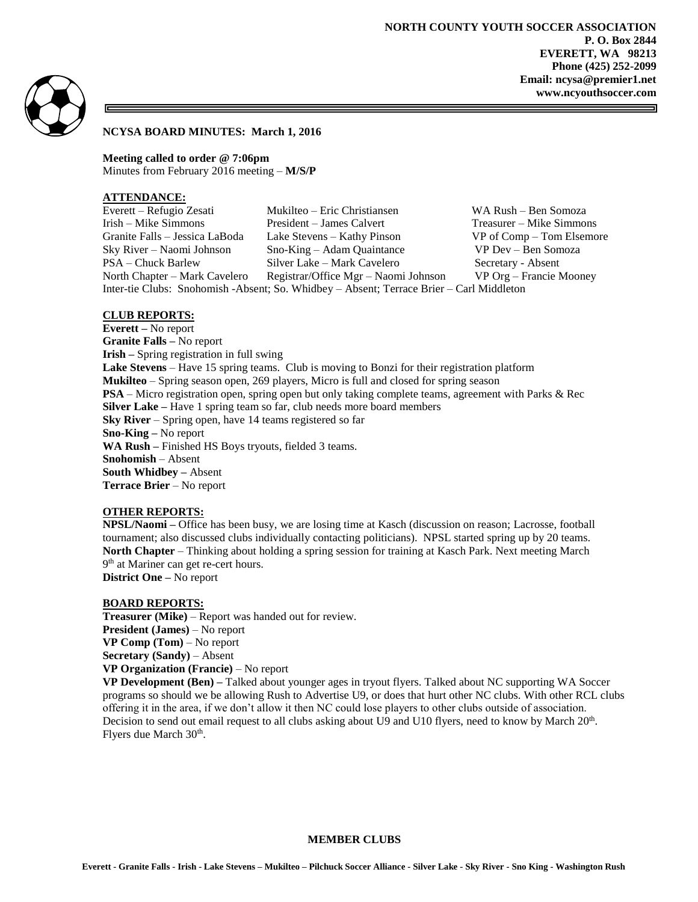



# **NCYSA BOARD MINUTES: March 1, 2016**

**Meeting called to order @ 7:06pm** Minutes from February 2016 meeting – **M/S/P**

#### **ATTENDANCE:**

| Everett – Refugio Zesati                                                                 | Mukilteo – Eric Christiansen         | WA Rush - Ben Somoza          |
|------------------------------------------------------------------------------------------|--------------------------------------|-------------------------------|
| Irish – Mike Simmons                                                                     | President – James Calvert            | Treasurer – Mike Simmons      |
| Granite Falls – Jessica LaBoda                                                           | Lake Stevens – Kathy Pinson          | $VP$ of $Comp - Tom$ Elsemore |
| Sky River – Naomi Johnson                                                                | $Sno-King - Adam Quantance$          | VP Dev – Ben Somoza           |
| PSA – Chuck Barlew                                                                       | Silver Lake – Mark Cavelero          | Secretary - Absent            |
| North Chapter – Mark Cavelero                                                            | Registrar/Office Mgr – Naomi Johnson | VP Org – Francie Mooney       |
| Inter-tie Clubs: Snohomish -Absent; So. Whidbey – Absent; Terrace Brier – Carl Middleton |                                      |                               |

## **CLUB REPORTS:**

**Everett –** No report **Granite Falls –** No report **Irish –** Spring registration in full swing **Lake Stevens** – Have 15 spring teams. Club is moving to Bonzi for their registration platform **Mukilteo** – Spring season open, 269 players, Micro is full and closed for spring season **PSA** – Micro registration open, spring open but only taking complete teams, agreement with Parks & Rec **Silver Lake –** Have 1 spring team so far, club needs more board members **Sky River** – Spring open, have 14 teams registered so far **Sno-King –** No report **WA Rush –** Finished HS Boys tryouts, fielded 3 teams. **Snohomish** – Absent **South Whidbey –** Absent **Terrace Brier** – No report

## **OTHER REPORTS:**

**NPSL/Naomi –** Office has been busy, we are losing time at Kasch (discussion on reason; Lacrosse, football tournament; also discussed clubs individually contacting politicians). NPSL started spring up by 20 teams. **North Chapter** – Thinking about holding a spring session for training at Kasch Park. Next meeting March 9<sup>th</sup> at Mariner can get re-cert hours. **District One –** No report

**BOARD REPORTS:**

**Treasurer (Mike)** – Report was handed out for review. **President (James)** – No report **VP Comp (Tom)** – No report **Secretary (Sandy)** – Absent **VP Organization (Francie)** – No report

**VP Development (Ben) –** Talked about younger ages in tryout flyers. Talked about NC supporting WA Soccer programs so should we be allowing Rush to Advertise U9, or does that hurt other NC clubs. With other RCL clubs offering it in the area, if we don't allow it then NC could lose players to other clubs outside of association. Decision to send out email request to all clubs asking about U9 and U10 flyers, need to know by March 20<sup>th</sup>. Flyers due March 30<sup>th</sup>.

#### **MEMBER CLUBS**